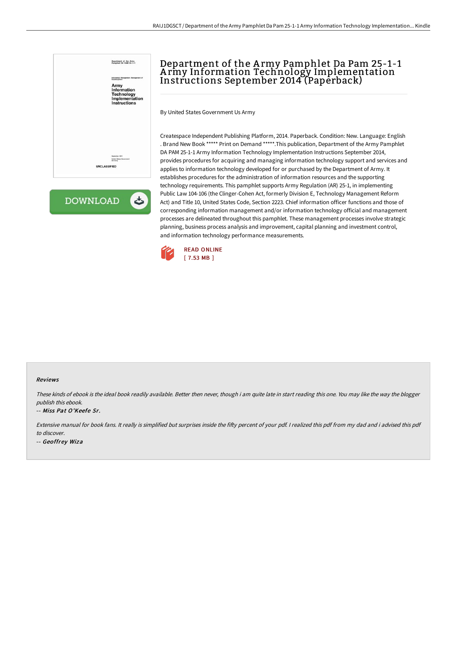



# Department of the A rmy Pamphlet Da Pam 25-1-1 A rmy Information Technology Implementation Instructions September 2014 (Paperback)

By United States Government Us Army

Createspace Independent Publishing Platform, 2014. Paperback. Condition: New. Language: English . Brand New Book \*\*\*\*\* Print on Demand \*\*\*\*\*.This publication, Department of the Army Pamphlet DA PAM 25-1-1 Army Information Technology Implementation Instructions September 2014, provides procedures for acquiring and managing information technology support and services and applies to information technology developed for or purchased by the Department of Army. It establishes procedures for the administration of information resources and the supporting technology requirements. This pamphlet supports Army Regulation (AR) 25-1, in implementing Public Law 104-106 (the Clinger-Cohen Act, formerly Division E, Technology Management Reform Act) and Title 10, United States Code, Section 2223. Chief information officer functions and those of corresponding information management and/or information technology official and management processes are delineated throughout this pamphlet. These management processes involve strategic planning, business process analysis and improvement, capital planning and investment control, and information technology performance measurements.



#### Reviews

These kinds of ebook is the ideal book readily available. Better then never, though i am quite late in start reading this one. You may like the way the blogger publish this ebook.

#### -- Miss Pat O'Keefe Sr.

Extensive manual for book fans. It really is simplified but surprises inside the fifty percent of your pdf. I realized this pdf from my dad and i advised this pdf to discover.

-- Geoffrey Wiza